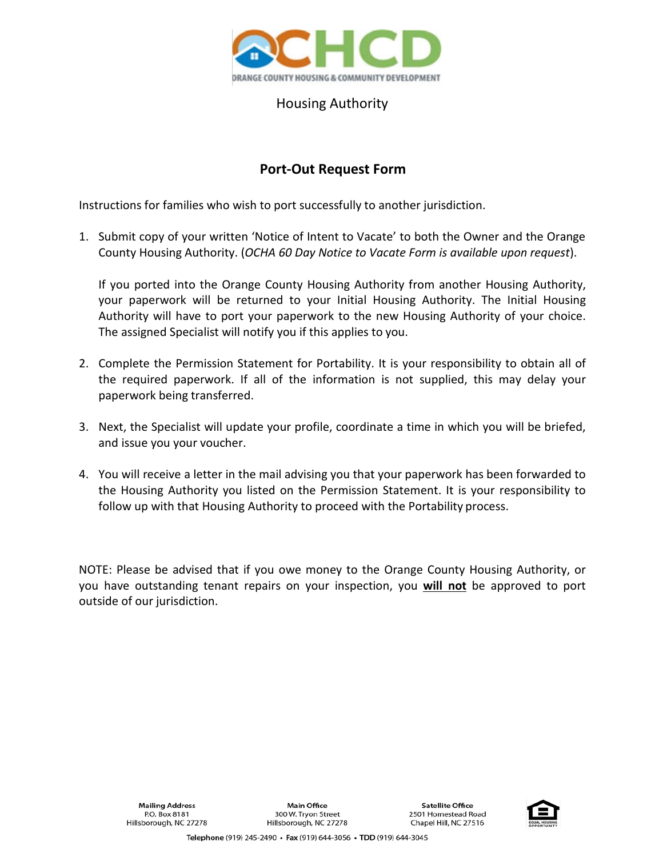

## Housing Authority

## **Port-Out Request Form**

Instructions for families who wish to port successfully to another jurisdiction.

1. Submit copy of your written 'Notice of Intent to Vacate' to both the Owner and the Orange County Housing Authority. (*OCHA 60 Day Notice to Vacate Form is available upon request*).

If you ported into the Orange County Housing Authority from another Housing Authority, your paperwork will be returned to your Initial Housing Authority. The Initial Housing Authority will have to port your paperwork to the new Housing Authority of your choice. The assigned Specialist will notify you if this applies to you.

- 2. Complete the Permission Statement for Portability. It is your responsibility to obtain all of the required paperwork. If all of the information is not supplied, this may delay your paperwork being transferred.
- 3. Next, the Specialist will update your profile, coordinate a time in which you will be briefed, and issue you your voucher.
- 4. You will receive a letter in the mail advising you that your paperwork has been forwarded to the Housing Authority you listed on the Permission Statement. It is your responsibility to follow up with that Housing Authority to proceed with the Portability process.

NOTE: Please be advised that if you owe money to the Orange County Housing Authority, or you have outstanding tenant repairs on your inspection, you **will not** be approved to port outside of our jurisdiction.